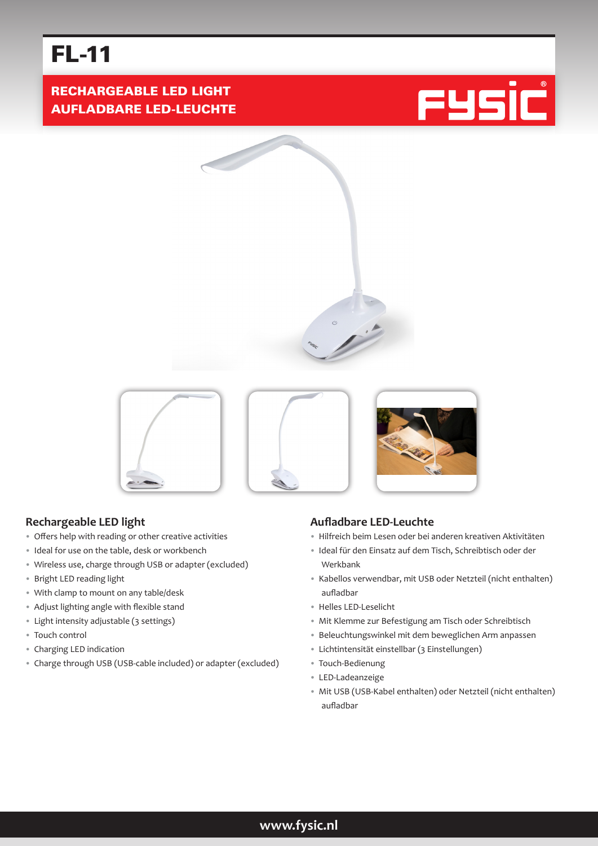# FL-11

RECHARGEABLE LED LIGHT AUFLADBARE LED-LEUCHTE







## **Rechargeable LED light**

- Offers help with reading or other creative activities
- Ideal for use on the table, desk or workbench
- Wireless use, charge through USB or adapter (excluded)
- Bright LED reading light
- With clamp to mount on any table/desk
- Adjust lighting angle with flexible stand
- Light intensity adjustable (3 settings)
- Touch control
- Charging LED indication
- Charge through USB (USB-cable included) or adapter (excluded)

#### **Aufladbare LED-Leuchte**

- Hilfreich beim Lesen oder bei anderen kreativen Aktivitäten
- Ideal für den Einsatz auf dem Tisch, Schreibtisch oder der Werkbank
- Kabellos verwendbar, mit USB oder Netzteil (nicht enthalten) aufladbar
- Helles LED-Leselicht
- Mit Klemme zur Befestigung am Tisch oder Schreibtisch
- Beleuchtungswinkel mit dem beweglichen Arm anpassen
- Lichtintensität einstellbar (3 Einstellungen)
- Touch-Bedienung
- LED-Ladeanzeige
- Mit USB (USB-Kabel enthalten) oder Netzteil (nicht enthalten) aufladbar